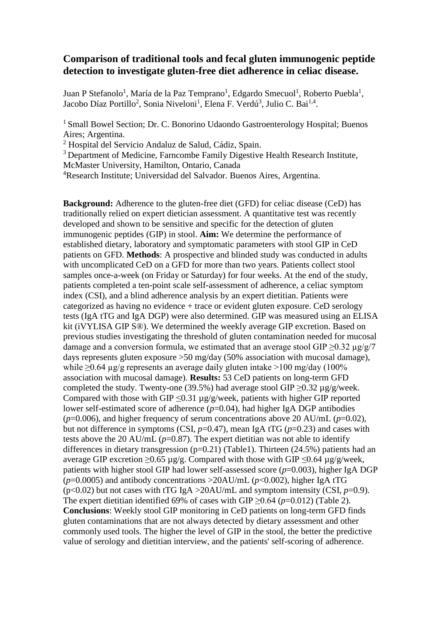## **Comparison of traditional tools and fecal gluten immunogenic peptide detection to investigate gluten-free diet adherence in celiac disease.**

Juan P Stefanolo<sup>1</sup>, María de la Paz Temprano<sup>1</sup>, Edgardo Smecuol<sup>1</sup>, Roberto Puebla<sup>1</sup>, Jacobo Díaz Portillo<sup>2</sup>, Sonia Niveloni<sup>1</sup>, Elena F. Verdú<sup>3</sup>, Julio C. Bai<sup>1,4</sup>.

<sup>1</sup> Small Bowel Section; Dr. C. Bonorino Udaondo Gastroenterology Hospital; Buenos Aires; Argentina.

<sup>2</sup> Hospital del Servicio Andaluz de Salud, Cádiz, Spain.

<sup>3</sup> Department of Medicine, Farncombe Family Digestive Health Research Institute,

McMaster University, Hamilton, Ontario, Canada

<sup>4</sup>Research Institute; Universidad del Salvador. Buenos Aires, Argentina.

**Background:** Adherence to the gluten-free diet (GFD) for celiac disease (CeD) has traditionally relied on expert dietician assessment. A quantitative test was recently developed and shown to be sensitive and specific for the detection of gluten immunogenic peptides (GIP) in stool. **Aim:** We determine the performance of established dietary, laboratory and symptomatic parameters with stool GIP in CeD patients on GFD. **Methods**: A prospective and blinded study was conducted in adults with uncomplicated CeD on a GFD for more than two years. Patients collect stool samples once-a-week (on Friday or Saturday) for four weeks. At the end of the study, patients completed a ten-point scale self-assessment of adherence, a celiac symptom index (CSI), and a blind adherence analysis by an expert dietitian. Patients were categorized as having no evidence + trace or evident gluten exposure. CeD serology tests (IgA tTG and IgA DGP) were also determined. GIP was measured using an ELISA kit (iVYLISA GIP S®). We determined the weekly average GIP excretion. Based on previous studies investigating the threshold of gluten contamination needed for mucosal damage and a conversion formula, we estimated that an average stool GIP  $\geq 0.32 \mu g/g/7$ days represents gluten exposure >50 mg/day (50% association with mucosal damage), while  $\geq 0.64$  µg/g represents an average daily gluten intake  $>100$  mg/day (100%) association with mucosal damage). **Results:** 53 CeD patients on long-term GFD completed the study. Twenty-one (39.5%) had average stool GIP  $\geq 0.32 \text{ µg/g/week.}$ Compared with those with GIP  $\leq 0.31$  µg/g/week, patients with higher GIP reported lower self-estimated score of adherence (*p*=0.04), had higher IgA DGP antibodies  $(p=0.006)$ , and higher frequency of serum concentrations above 20 AU/mL  $(p=0.02)$ , but not difference in symptoms (CSI,  $p=0.47$ ), mean IgA tTG ( $p=0.23$ ) and cases with tests above the 20 AU/mL  $(p=0.87)$ . The expert dietitian was not able to identify differences in dietary transgression (p=0.21) (Table1). Thirteen (24.5%) patients had an average GIP excretion >0.65  $\mu$ g/g. Compared with those with GIP <0.64  $\mu$ g/g/week, patients with higher stool GIP had lower self-assessed score (*p*=0.003), higher IgA DGP  $(p=0.0005)$  and antibody concentrations  $>20$ AU/mL ( $p<0.002$ ), higher IgA tTG ( $p<0.02$ ) but not cases with tTG IgA >20AU/mL and symptom intensity (CSI,  $p=0.9$ ). The expert dietitian identified 69% of cases with GIP  $\geq$ 0.64 (*p*=0.012) (Table 2). **Conclusions**: Weekly stool GIP monitoring in CeD patients on long-term GFD finds gluten contaminations that are not always detected by dietary assessment and other commonly used tools. The higher the level of GIP in the stool, the better the predictive value of serology and dietitian interview, and the patients' self-scoring of adherence.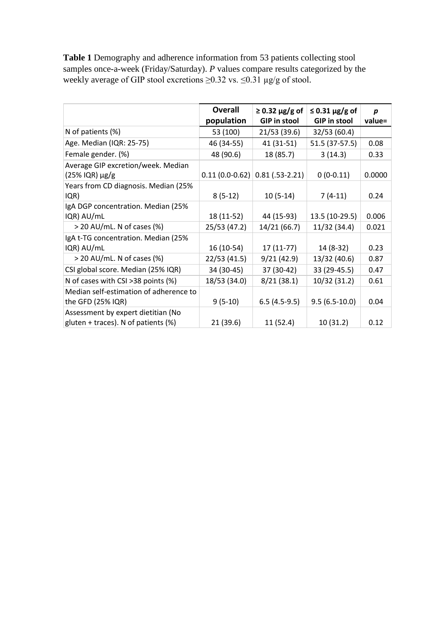**Table 1** Demography and adherence information from 53 patients collecting stool samples once-a-week (Friday/Saturday). *P* values compare results categorized by the weekly average of GIP stool excretions  $\geq 0.32$  vs.  $\leq 0.31$  µg/g of stool.

|                                        | <b>Overall</b> | $\geq$ 0.32 µg/g of              | $\leq$ 0.31 µg/g of | $\boldsymbol{p}$ |
|----------------------------------------|----------------|----------------------------------|---------------------|------------------|
|                                        | population     | <b>GIP in stool</b>              | <b>GIP in stool</b> | value=           |
| N of patients (%)                      | 53 (100)       | 21/53 (39.6)                     | 32/53 (60.4)        |                  |
| Age. Median (IQR: 25-75)               | 46 (34-55)     | 41 (31-51)                       | 51.5 (37-57.5)      | 0.08             |
| Female gender. (%)                     | 48 (90.6)      | 18 (85.7)                        | 3(14.3)             | 0.33             |
| Average GIP excretion/week. Median     |                |                                  |                     |                  |
| $(25\%$ IQR) $\mu$ g/g                 |                | $0.11(0.0-0.62)$ 0.81 (.53-2.21) | $0(0-0.11)$         | 0.0000           |
| Years from CD diagnosis. Median (25%   |                |                                  |                     |                  |
| IQR)                                   | $8(5-12)$      | $10(5-14)$                       | $7(4-11)$           | 0.24             |
| IgA DGP concentration. Median (25%     |                |                                  |                     |                  |
| IQR) AU/mL                             | 18 (11-52)     | 44 (15-93)                       | 13.5 (10-29.5)      | 0.006            |
| $>$ 20 AU/mL. N of cases (%)           | 25/53 (47.2)   | 14/21 (66.7)                     | 11/32 (34.4)        | 0.021            |
| IgA t-TG concentration. Median (25%    |                |                                  |                     |                  |
| IQR) AU/mL                             | 16 (10-54)     | $17(11-77)$                      | 14 (8-32)           | 0.23             |
| $>$ 20 AU/mL. N of cases (%)           | 22/53 (41.5)   | 9/21(42.9)                       | 13/32 (40.6)        | 0.87             |
| CSI global score. Median (25% IQR)     | 34 (30-45)     | 37 (30-42)                       | 33 (29-45.5)        | 0.47             |
| N of cases with CSI >38 points (%)     | 18/53 (34.0)   | 8/21(38.1)                       | 10/32 (31.2)        | 0.61             |
| Median self-estimation of adherence to |                |                                  |                     |                  |
| the GFD (25% IQR)                      | $9(5-10)$      | $6.5(4.5-9.5)$                   | $9.5(6.5-10.0)$     | 0.04             |
| Assessment by expert dietitian (No     |                |                                  |                     |                  |
| gluten + traces). N of patients (%)    | 21 (39.6)      | 11(52.4)                         | 10(31.2)            | 0.12             |